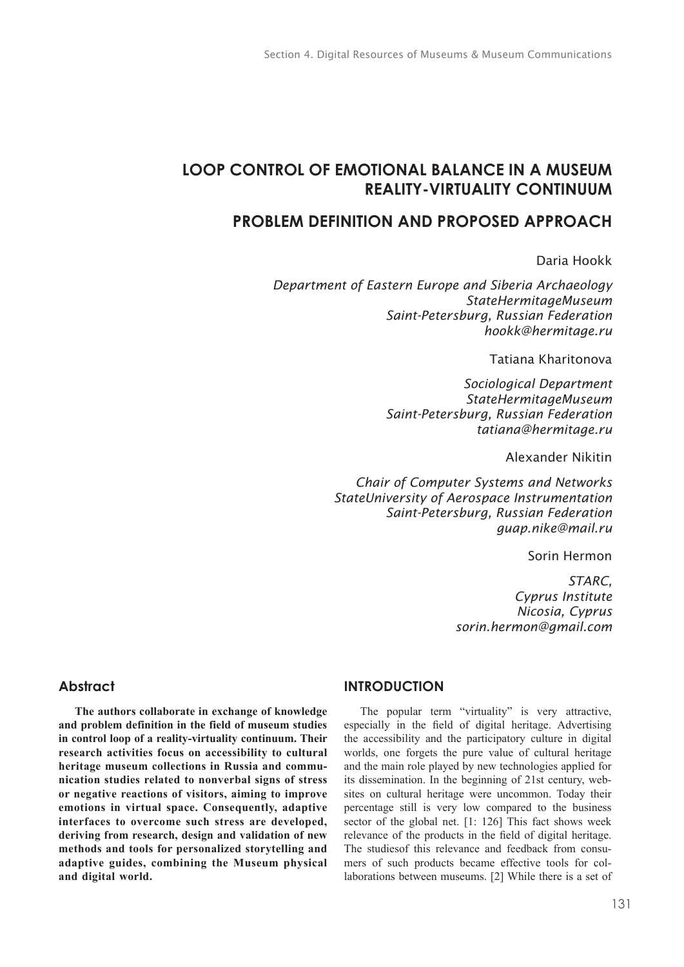# **LOOP CONTROL OF EMOTIONAL BALANCE IN A MUSEUM REALITY-VIRTUALITY CONTINUUM**

# **PROBLEM DEFINITION AND PROPOSED APPROACH**

## Daria Hookk

*Department of Eastern Europe and Siberia Archaeology StateHermitageMuseum Saint-Petersburg, Russian Federation hookk@hermitage.ru*

Tatiana Kharitonova

*Sociological Department StateHermitageMuseum Saint-Petersburg, Russian Federation tatiana@hermitage.ru*

Alexander Nikitin

*Chair of Computer Systems and Networks StateUniversity of Aerospace Instrumentation Saint-Petersburg, Russian Federation guap.nike@mail.ru*

Sorin Hermon

*STARC, Cyprus Institute Nicosia, Cyprus sorin.hermon@gmail.com*

### **Abstract**

**The authors collaborate in exchange of knowledge and problem definition in the field of museum studies in control loop of a reality-virtuality continuum. Their research activities focus on accessibility to cultural heritage museum collections in Russia and communication studies related to nonverbal signs of stress or negative reactions of visitors, aiming to improve emotions in virtual space. Consequently, adaptive interfaces to overcome such stress are developed, deriving from research, design and validation of new methods and tools for personalized storytelling and adaptive guides, combining the Museum physical and digital world.**

## **INTRODUCTION**

The popular term "virtuality" is very attractive, especially in the field of digital heritage. Advertising the accessibility and the participatory culture in digital worlds, one forgets the pure value of cultural heritage and the main role played by new technologies applied for its dissemination. In the beginning of 21st century, websites on cultural heritage were uncommon. Today their percentage still is very low compared to the business sector of the global net. [1: 126] This fact shows week relevance of the products in the field of digital heritage. The studiesof this relevance and feedback from consumers of such products became effective tools for collaborations between museums. [2] While there is a set of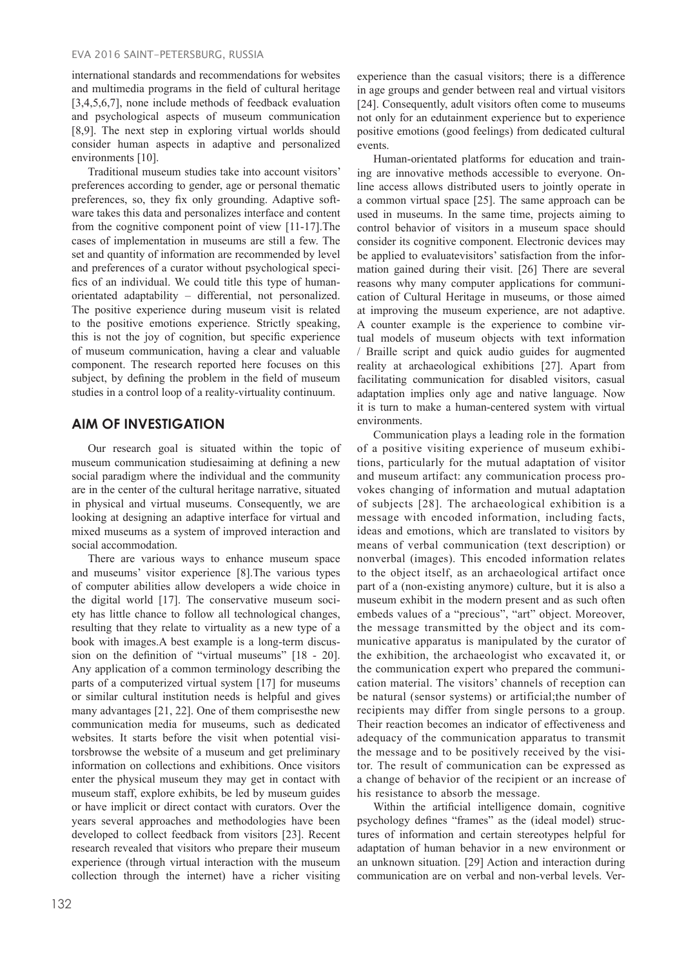international standards and recommendations for websites and multimedia programs in the field of cultural heritage [3,4,5,6,7], none include methods of feedback evaluation and psychological aspects of museum communication [8,9]. The next step in exploring virtual worlds should consider human aspects in adaptive and personalized environments [10].

Traditional museum studies take into account visitors' preferences according to gender, age or personal thematic preferences, so, they fix only grounding. Adaptive software takes this data and personalizes interface and content from the cognitive component point of view [11-17].The cases of implementation in museums are still a few. The set and quantity of information are recommended by level and preferences of a curator without psychological specifics of an individual. We could title this type of humanorientated adaptability – differential, not personalized. The positive experience during museum visit is related to the positive emotions experience. Strictly speaking, this is not the joy of cognition, but specific experience of museum communication, having a clear and valuable component. The research reported here focuses on this subject, by defining the problem in the field of museum studies in a control loop of a reality-virtuality continuum.

# **AIM OF INVESTIGATION**

Our research goal is situated within the topic of museum communication studiesaiming at defining a new social paradigm where the individual and the community are in the center of the cultural heritage narrative, situated in physical and virtual museums. Consequently, we are looking at designing an adaptive interface for virtual and mixed museums as a system of improved interaction and social accommodation.

There are various ways to enhance museum space and museums' visitor experience [8].The various types of computer abilities allow developers a wide choice in the digital world [17]. The conservative museum society has little chance to follow all technological changes, resulting that they relate to virtuality as a new type of a book with images.A best example is a long-term discussion on the definition of "virtual museums" [18 - 20]. Any application of a common terminology describing the parts of a computerized virtual system [17] for museums or similar cultural institution needs is helpful and gives many advantages [21, 22]. One of them comprisesthe new communication media for museums, such as dedicated websites. It starts before the visit when potential visitorsbrowse the website of a museum and get preliminary information on collections and exhibitions. Once visitors enter the physical museum they may get in contact with museum staff, explore exhibits, be led by museum guides or have implicit or direct contact with curators. Over the years several approaches and methodologies have been developed to collect feedback from visitors [23]. Recent research revealed that visitors who prepare their museum experience (through virtual interaction with the museum collection through the internet) have a richer visiting

experience than the casual visitors; there is a difference in age groups and gender between real and virtual visitors [24]. Consequently, adult visitors often come to museums not only for an edutainment experience but to experience positive emotions (good feelings) from dedicated cultural events.

Human-orientated platforms for education and training are innovative methods accessible to everyone. Online access allows distributed users to jointly operate in a common virtual space [25]. The same approach can be used in museums. In the same time, projects aiming to control behavior of visitors in a museum space should consider its cognitive component. Electronic devices may be applied to evaluatevisitors' satisfaction from the information gained during their visit. [26] There are several reasons why many computer applications for communication of Cultural Heritage in museums, or those aimed at improving the museum experience, are not adaptive. A counter example is the experience to combine virtual models of museum objects with text information / Braille script and quick audio guides for augmented reality at archaeological exhibitions [27]. Apart from facilitating communication for disabled visitors, casual adaptation implies only age and native language. Now it is turn to make a human-centered system with virtual environments.

Communication plays a leading role in the formation of a positive visiting experience of museum exhibitions, particularly for the mutual adaptation of visitor and museum artifact: any communication process provokes changing of information and mutual adaptation of subjects [28]. The archaeological exhibition is a message with encoded information, including facts, ideas and emotions, which are translated to visitors by means of verbal communication (text description) or nonverbal (images). This encoded information relates to the object itself, as an archaeological artifact once part of a (non-existing anymore) culture, but it is also a museum exhibit in the modern present and as such often embeds values of a "precious", "art" object. Moreover, the message transmitted by the object and its communicative apparatus is manipulated by the curator of the exhibition, the archaeologist who excavated it, or the communication expert who prepared the communication material. The visitors' channels of reception can be natural (sensor systems) or artificial;the number of recipients may differ from single persons to a group. Their reaction becomes an indicator of effectiveness and adequacy of the communication apparatus to transmit the message and to be positively received by the visitor. The result of communication can be expressed as a change of behavior of the recipient or an increase of his resistance to absorb the message.

Within the artificial intelligence domain, cognitive psychology defines "frames" as the (ideal model) structures of information and certain stereotypes helpful for adaptation of human behavior in a new environment or an unknown situation. [29] Action and interaction during communication are on verbal and non-verbal levels. Ver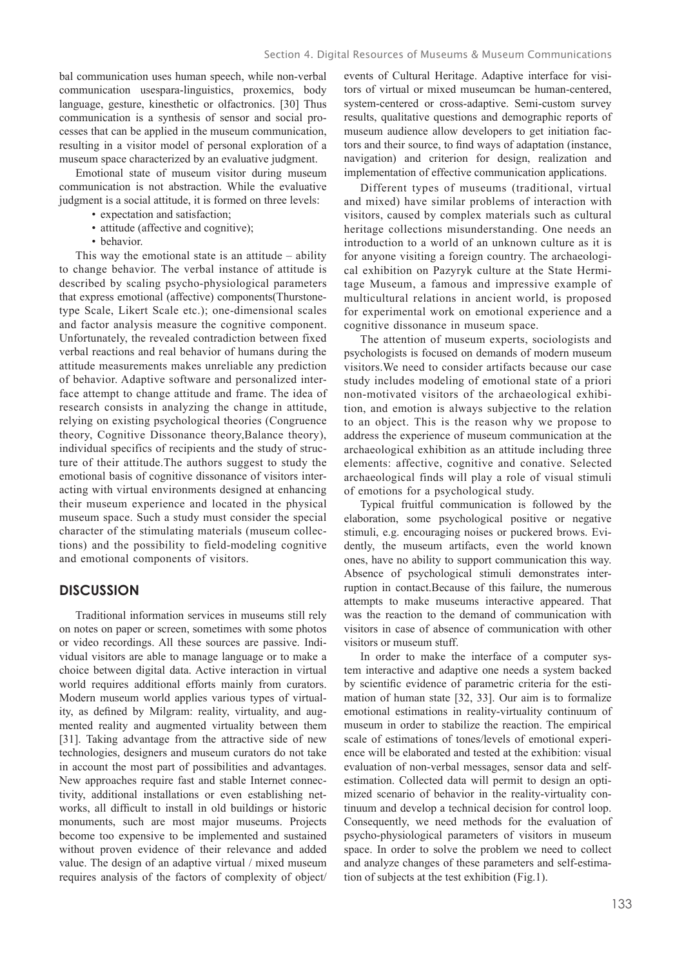bal communication uses human speech, while non-verbal communication usespara-linguistics, proxemics, body language, gesture, kinesthetic or olfactronics. [30] Thus communication is a synthesis of sensor and social processes that can be applied in the museum communication, resulting in a visitor model of personal exploration of a museum space characterized by an evaluative judgment.

Emotional state of museum visitor during museum communication is not abstraction. While the evaluative judgment is a social attitude, it is formed on three levels:

- expectation and satisfaction;
- attitude (affective and cognitive);
- behavior.

This way the emotional state is an attitude – ability to change behavior. The verbal instance of attitude is described by scaling psycho-physiological parameters that express emotional (affective) components(Thurstonetype Scale, Likert Scale etc.); one-dimensional scales and factor analysis measure the cognitive component. Unfortunately, the revealed contradiction between fixed verbal reactions and real behavior of humans during the attitude measurements makes unreliable any prediction of behavior. Adaptive software and personalized interface attempt to change attitude and frame. The idea of research consists in analyzing the change in attitude, relying on existing psychological theories (Congruence theory, Cognitive Dissonance theory,Balance theory), individual specifics of recipients and the study of structure of their attitude.The authors suggest to study the emotional basis of cognitive dissonance of visitors interacting with virtual environments designed at enhancing their museum experience and located in the physical museum space. Such a study must consider the special character of the stimulating materials (museum collections) and the possibility to field-modeling cognitive and emotional components of visitors.

### **DISCUSSION**

Traditional information services in museums still rely on notes on paper or screen, sometimes with some photos or video recordings. All these sources are passive. Individual visitors are able to manage language or to make a choice between digital data. Active interaction in virtual world requires additional efforts mainly from curators. Modern museum world applies various types of virtuality, as defined by Milgram: reality, virtuality, and augmented reality and augmented virtuality between them [31]. Taking advantage from the attractive side of new technologies, designers and museum curators do not take in account the most part of possibilities and advantages. New approaches require fast and stable Internet connectivity, additional installations or even establishing networks, all difficult to install in old buildings or historic monuments, such are most major museums. Projects become too expensive to be implemented and sustained without proven evidence of their relevance and added value. The design of an adaptive virtual / mixed museum requires analysis of the factors of complexity of object/ events of Cultural Heritage. Adaptive interface for visitors of virtual or mixed museumcan be human-centered, system-centered or cross-adaptive. Semi-custom survey results, qualitative questions and demographic reports of museum audience allow developers to get initiation factors and their source, to find ways of adaptation (instance, navigation) and criterion for design, realization and implementation of effective communication applications.

Different types of museums (traditional, virtual and mixed) have similar problems of interaction with visitors, caused by complex materials such as cultural heritage collections misunderstanding. One needs an introduction to a world of an unknown culture as it is for anyone visiting a foreign country. The archaeological exhibition on Pazyryk culture at the State Hermitage Museum, a famous and impressive example of multicultural relations in ancient world, is proposed for experimental work on emotional experience and a cognitive dissonance in museum space.

The attention of museum experts, sociologists and psychologists is focused on demands of modern museum visitors.We need to consider artifacts because our case study includes modeling of emotional state of a priori non-motivated visitors of the archaeological exhibition, and emotion is always subjective to the relation to an object. This is the reason why we propose to address the experience of museum communication at the archaeological exhibition as an attitude including three elements: affective, cognitive and conative. Selected archaeological finds will play a role of visual stimuli of emotions for a psychological study.

Typical fruitful communication is followed by the elaboration, some psychological positive or negative stimuli, e.g. encouraging noises or puckered brows. Evidently, the museum artifacts, even the world known ones, have no ability to support communication this way. Absence of psychological stimuli demonstrates interruption in contact.Because of this failure, the numerous attempts to make museums interactive appeared. That was the reaction to the demand of communication with visitors in case of absence of communication with other visitors or museum stuff.

In order to make the interface of a computer system interactive and adaptive one needs a system backed by scientific evidence of parametric criteria for the estimation of human state [32, 33]. Our aim is to formalize emotional estimations in reality-virtuality continuum of museum in order to stabilize the reaction. The empirical scale of estimations of tones/levels of emotional experience will be elaborated and tested at the exhibition: visual evaluation of non-verbal messages, sensor data and selfestimation. Collected data will permit to design an optimized scenario of behavior in the reality-virtuality continuum and develop a technical decision for control loop. Consequently, we need methods for the evaluation of psycho-physiological parameters of visitors in museum space. In order to solve the problem we need to collect and analyze changes of these parameters and self-estimation of subjects at the test exhibition (Fig.1).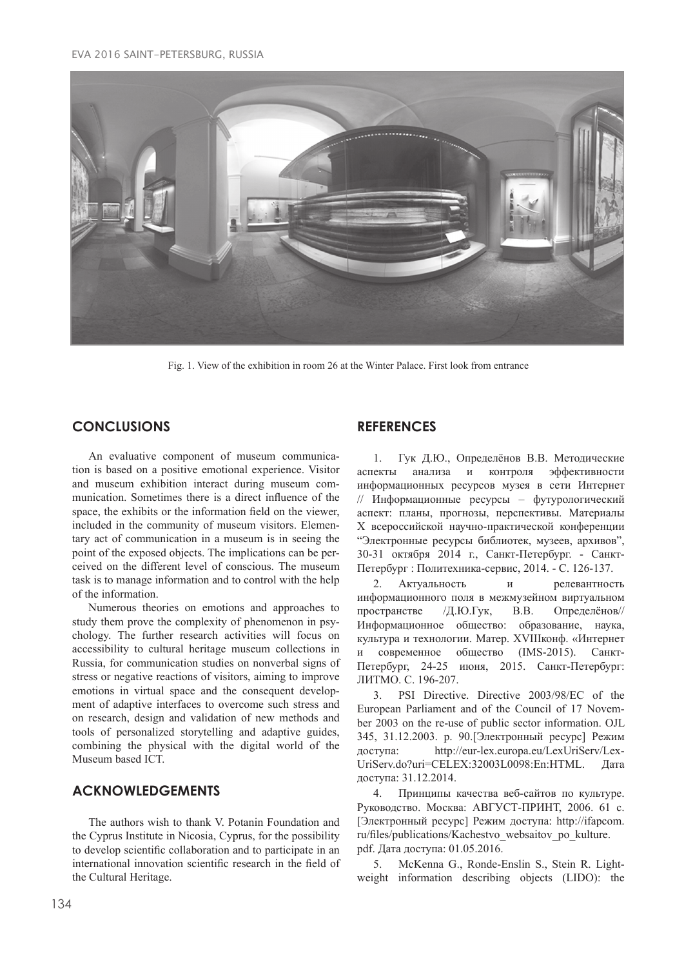#### EVA 2016 SAINT-PETERSBURG, RUSSIA



Fig. 1. View of the exhibition in room 26 at the Winter Palace. First look from entrance

# **CONCLUSIONS**

An evaluative component of museum communication is based on a positive emotional experience. Visitor and museum exhibition interact during museum communication. Sometimes there is a direct influence of the space, the exhibits or the information field on the viewer, included in the community of museum visitors. Elementary act of communication in a museum is in seeing the point of the exposed objects. The implications can be perceived on the different level of conscious. The museum task is to manage information and to control with the help of the information.

Numerous theories on emotions and approaches to study them prove the complexity of phenomenon in psychology. The further research activities will focus on accessibility to cultural heritage museum collections in Russia, for communication studies on nonverbal signs of stress or negative reactions of visitors, aiming to improve emotions in virtual space and the consequent development of adaptive interfaces to overcome such stress and on research, design and validation of new methods and tools of personalized storytelling and adaptive guides, combining the physical with the digital world of the Museum based ICT.

# **ACKNOWLEDGEMENTS**

The authors wish to thank V. Potanin Foundation and the Cyprus Institute in Nicosia, Cyprus, for the possibility to develop scientific collaboration and to participate in an international innovation scientific research in the field of the Cultural Heritage.

## **REFERENCES**

1. Гук Д.Ю., Определёнов В.В. Методические аспекты анализа и контроля эффективности информационных ресурсов музея в сети Интернет // Информационные ресурсы – футурологический аспект: планы, прогнозы, перспективы. Материалы X всероссийской научно-практической конференции "Электронные ресурсы библиотек, музеев, архивов", 30-31 октября 2014 г., Санкт-Петербург. - Санкт-Петербург : Политехника-сервис, 2014. - С. 126-137.

2. Актуальность и релевантность информационного поля в межмузейном виртуальном пространстве /Д.Ю.Гук, В.В. Определёнов// Информационное общество: образование, наука, культура и технологии. Матер. XVIIIконф. «Интернет и современное общество (IMS-2015). Санкт-Петербург, 24-25 июня, 2015. Санкт-Петербург: ЛИТМО. C. 196-207.

3. PSI Directive. Directive 2003/98/EC of the European Parliament and of the Council of 17 November 2003 on the re-use of public sector information. OJL 345, 31.12.2003. p. 90.[Электронный ресурс] Режим доступа: http://eur-lex.europa.eu/LexUriServ/Lex-UriServ.do?uri=CELEX:32003L0098:En:HTML. Дата доступа: 31.12.2014.

4. Принципы качества веб-сайтов по культуре. Руководство. Москва: АВГУСТ-ПРИНТ, 2006. 61 с. [Электронный ресурс] Режим доступа: http://ifapcom. ru/files/publications/Kachestvo\_websaitov\_po\_kulture. pdf. Дата доступа: 01.05.2016.

5. McKenna G., Ronde-Enslin S., Stein R. Lightweight information describing objects (LIDO): the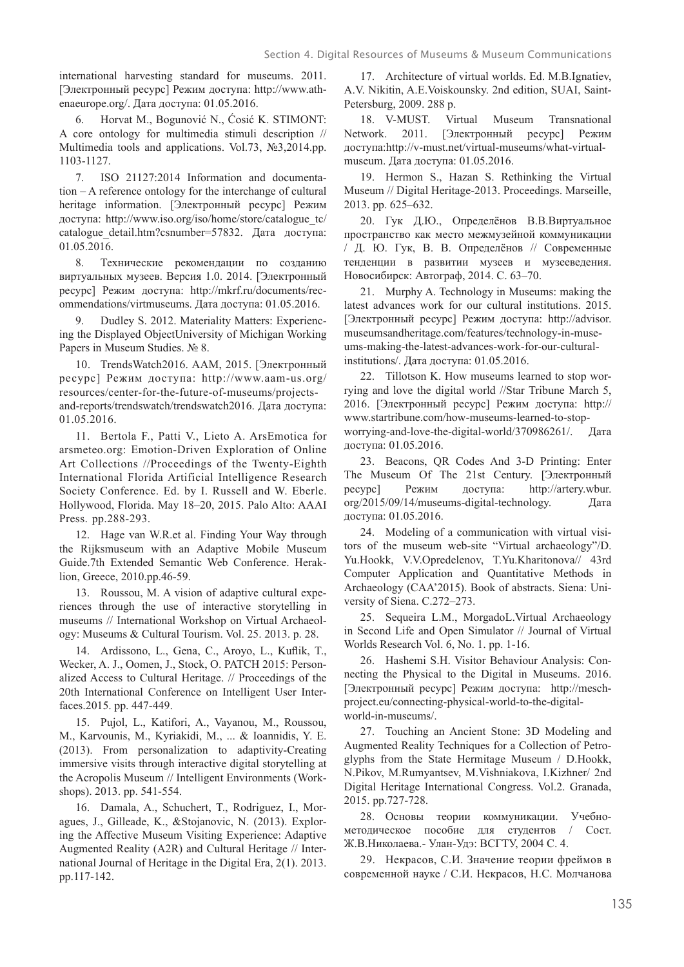international harvesting standard for museums. 2011. [Электронный ресурс] Режим доступа: http://www.athenaeurope.org/. Дата доступа: 01.05.2016.

6. Horvat M., Bogunović N., Ćosić K. STIMONT: A core ontology for multimedia stimuli description // Multimedia tools and applications. Vol.73, №3,2014.pp. 1103-1127.

7. ISO 21127:2014 Information and documentation – A reference ontology for the interchange of cultural heritage information. [Электронный ресурс] Режим доступа: http://www.iso.org/iso/home/store/catalogue\_tc/ catalogue detail.htm?csnumber=57832. Дата доступа: 01.05.2016.

8. Технические рекомендации по созданию виртуальных музеев. Версия 1.0. 2014. [Электронный ресурс] Режим доступа: http://mkrf.ru/documents/recommendations/virtmuseums. Дата доступа: 01.05.2016.

Dudley S. 2012. Materiality Matters: Experiencing the Displayed ObjectUniversity of Michigan Working Papers in Museum Studies. No 8.

10. TrendsWatch2016. ААМ, 2015. [Электронный ресурс] Режим доступа: http://www.aam-us.org/ resources/center-for-the-future-of-museums/projectsand-reports/trendswatch/trendswatch2016. Дата доступа: 01.05.2016.

11. Bertola F., Patti V., Lieto A. ArsEmotica for arsmeteo.org: Emotion-Driven Exploration of Online Art Collections //Proceedings of the Twenty-Eighth International Florida Artificial Intelligence Research Society Conference. Ed. by I. Russell and W. Eberle. Hollywood, Florida. May 18–20, 2015. Palo Alto: AAAI Press. pp.288-293.

12. Hage van W.R.et al. Finding Your Way through the Rijksmuseum with an Adaptive Mobile Museum Guide.7th Extended Semantic Web Conference. Heraklion, Greece, 2010.pp.46-59.

13. Roussou, M. A vision of adaptive cultural experiences through the use of interactive storytelling in museums // International Workshop on Virtual Archaeology: Museums & Cultural Tourism. Vol. 25. 2013. p. 28.

14. Ardissono, L., Gena, C., Aroyo, L., Kuflik, T., Wecker, A. J., Oomen, J., Stock, O. PATCH 2015: Personalized Access to Cultural Heritage. // Proceedings of the 20th International Conference on Intelligent User Interfaces.2015. pp. 447-449.

15. Pujol, L., Katifori, A., Vayanou, M., Roussou, M., Karvounis, M., Kyriakidi, M., ... & Ioannidis, Y. E. (2013). From personalization to adaptivity-Creating immersive visits through interactive digital storytelling at the Acropolis Museum // Intelligent Environments (Workshops). 2013. pp. 541-554.

16. Damala, A., Schuchert, T., Rodriguez, I., Moragues, J., Gilleade, K., &Stojanovic, N. (2013). Exploring the Affective Museum Visiting Experience: Adaptive Augmented Reality (A2R) and Cultural Heritage // International Journal of Heritage in the Digital Era, 2(1). 2013. pp.117-142.

17. Architecture of virtual worlds. Ed. M.B.Ignatiev, A.V. Nikitin, A.E.Voiskounsky. 2nd edition, SUAI, Saint-Petersburg, 2009. 288 p.

18. V-MUST. Virtual Museum Transnational Network. 2011. [Электронный ресурс] Режим доступа:http://v-must.net/virtual-museums/what-virtualmuseum. Дата доступа: 01.05.2016.

19. Hermon S., Hazan S. Rethinking the Virtual Museum // Digital Heritage-2013. Proceedings. Marseille, 2013. pp. 625–632.

20. Гук Д.Ю., Определёнов В.В.Виртуальное пространство как место межмузейной коммуникации / Д. Ю. Гук, В. В. Определёнов // Современные тенденции в развитии музеев и музееведения. Новосибирск: Автограф, 2014. С. 63–70.

21. Murphy A. Technology in Museums: making the latest advances work for our cultural institutions. 2015. [Электронный ресурс] Режим доступа: http://advisor. museumsandheritage.com/features/technology-in-museums-making-the-latest-advances-work-for-our-culturalinstitutions/. Дата доступа: 01.05.2016.

22. Tillotson K. How museums learned to stop worrying and love the digital world //Star Tribune March 5, 2016. [Электронный ресурс] Режим доступа: http:// www.startribune.com/how-museums-learned-to-stopworrying-and-love-the-digital-world/370986261/. Дата доступа: 01.05.2016.

23. Beacons, QR Codes And 3-D Printing: Enter The Museum Of The 21st Century. [Электронный ресурс] Режим доступа: http://artery.wbur. org/2015/09/14/museums-digital-technology. Дата доступа: 01.05.2016.

24. Modeling of a communication with virtual visitors of the museum web-site "Virtual archaeology"/D. Yu.Hookk, V.V.Opredelenov, T.Yu.Kharitonova// 43rd Computer Application and Quantitative Methods in Archaeology (CAA'2015). Book of abstracts. Siena: University of Siena. C.272–273.

25. Sequeira L.M., MorgadoL.Virtual Archaeology in Second Life and Open Simulator // Journal of Virtual Worlds Research Vol. 6, No. 1. pp. 1-16.

26. Hashemi S.H. Visitor Behaviour Analysis: Connecting the Physical to the Digital in Museums. 2016. [Электронный ресурс] Режим доступа: http://meschproject.eu/connecting-physical-world-to-the-digitalworld-in-museums/.

27. Touching an Ancient Stone: 3D Modeling and Augmented Reality Techniques for a Collection of Petroglyphs from the State Hermitage Museum / D.Hookk, N.Pikov, M.Rumyantsev, M.Vishniakova, I.Kizhner/ 2nd Digital Heritage International Congress. Vol.2. Granada, 2015. pp.727-728.

28. Основы теории коммуникации. Учебнометодическое пособие для студентов / Сост. Ж.В.Николаева.- Улан-Удэ: ВСГТУ, 2004 С. 4.

29. Некрасов, С.И. Значение теории фреймов в современной науке / С.И. Некрасов, Н.С. Молчанова